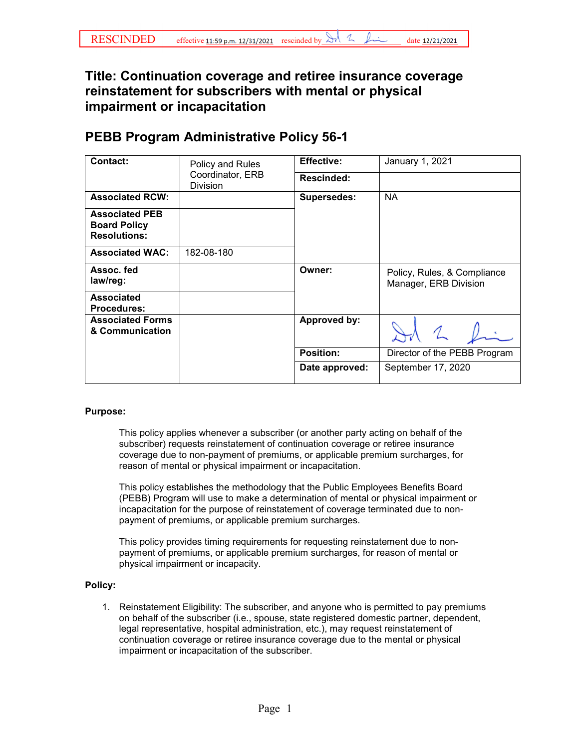## **reinstatement for subscribers with mental or physical impairment or incapacitation Title: Continuation coverage and retiree insurance coverage**

## **PEBB Program Administrative Policy 56-1**

| Contact:                                                            | Policy and Rules<br>Coordinator, ERB<br><b>Division</b> | <b>Effective:</b>  | January 1, 2021                                      |
|---------------------------------------------------------------------|---------------------------------------------------------|--------------------|------------------------------------------------------|
|                                                                     |                                                         | Rescinded:         |                                                      |
| <b>Associated RCW:</b>                                              |                                                         | <b>Supersedes:</b> | <b>NA</b>                                            |
| <b>Associated PEB</b><br><b>Board Policy</b><br><b>Resolutions:</b> |                                                         |                    |                                                      |
| <b>Associated WAC:</b>                                              | 182-08-180                                              |                    |                                                      |
| Assoc. fed<br>law/reg:                                              |                                                         | Owner:             | Policy, Rules, & Compliance<br>Manager, ERB Division |
| <b>Associated</b><br><b>Procedures:</b>                             |                                                         |                    |                                                      |
| <b>Associated Forms</b><br>& Communication                          |                                                         | Approved by:       |                                                      |
|                                                                     |                                                         | <b>Position:</b>   | Director of the PEBB Program                         |
|                                                                     |                                                         | Date approved:     | September 17, 2020                                   |

## **Purpose:**

 This policy applies whenever a subscriber (or another party acting on behalf of the coverage due to non-payment of premiums, or applicable premium surcharges, for reason of mental or physical impairment or incapacitation. subscriber) requests reinstatement of continuation coverage or retiree insurance

 This policy establishes the methodology that the Public Employees Benefits Board (PEBB) Program will use to make a determination of mental or physical impairment or incapacitation for the purpose of reinstatement of coverage terminated due to nonpayment of premiums, or applicable premium surcharges.

This policy provides timing requirements for requesting reinstatement due to nonpayment of premiums, or applicable premium surcharges, for reason of mental or physical impairment or incapacity.

## **Policy:**

 continuation coverage or retiree insurance coverage due to the mental or physical 1. Reinstatement Eligibility: The subscriber, and anyone who is permitted to pay premiums on behalf of the subscriber (i.e., spouse, state registered domestic partner, dependent, legal representative, hospital administration, etc.), may request reinstatement of impairment or incapacitation of the subscriber.